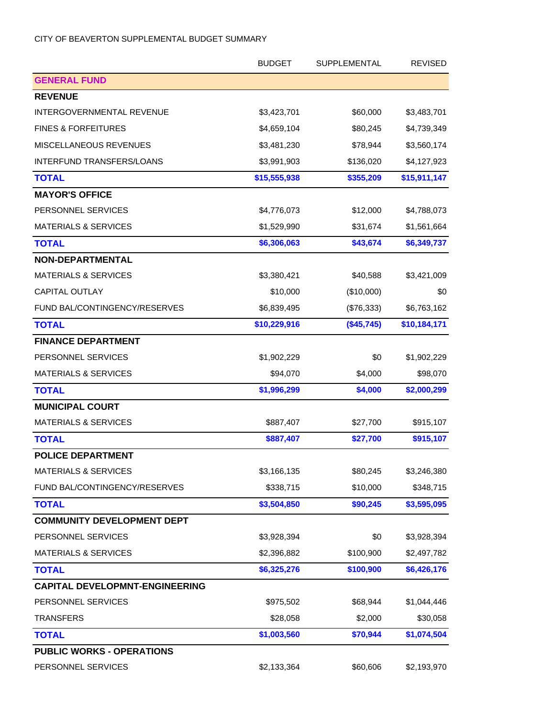|                                       | <b>BUDGET</b> | <b>SUPPLEMENTAL</b> | <b>REVISED</b> |
|---------------------------------------|---------------|---------------------|----------------|
| <b>GENERAL FUND</b>                   |               |                     |                |
| <b>REVENUE</b>                        |               |                     |                |
| <b>INTERGOVERNMENTAL REVENUE</b>      | \$3,423,701   | \$60,000            | \$3,483,701    |
| <b>FINES &amp; FORFEITURES</b>        | \$4,659,104   | \$80,245            | \$4,739,349    |
| <b>MISCELLANEOUS REVENUES</b>         | \$3,481,230   | \$78,944            | \$3,560,174    |
| INTERFUND TRANSFERS/LOANS             | \$3,991,903   | \$136,020           | \$4,127,923    |
| <b>TOTAL</b>                          | \$15,555,938  | \$355,209           | \$15,911,147   |
| <b>MAYOR'S OFFICE</b>                 |               |                     |                |
| PERSONNEL SERVICES                    | \$4,776,073   | \$12,000            | \$4,788,073    |
| <b>MATERIALS &amp; SERVICES</b>       | \$1,529,990   | \$31,674            | \$1,561,664    |
| <b>TOTAL</b>                          | \$6,306,063   | \$43,674            | \$6,349,737    |
| <b>NON-DEPARTMENTAL</b>               |               |                     |                |
| <b>MATERIALS &amp; SERVICES</b>       | \$3,380,421   | \$40,588            | \$3,421,009    |
| <b>CAPITAL OUTLAY</b>                 | \$10,000      | (\$10,000)          | \$0            |
| FUND BAL/CONTINGENCY/RESERVES         | \$6,839,495   | (\$76,333)          | \$6,763,162    |
| <b>TOTAL</b>                          | \$10,229,916  | (\$45,745)          | \$10,184,171   |
| <b>FINANCE DEPARTMENT</b>             |               |                     |                |
| PERSONNEL SERVICES                    | \$1,902,229   | \$0                 | \$1,902,229    |
| <b>MATERIALS &amp; SERVICES</b>       | \$94,070      | \$4,000             | \$98,070       |
| <b>TOTAL</b>                          | \$1,996,299   | \$4,000             | \$2,000,299    |
| <b>MUNICIPAL COURT</b>                |               |                     |                |
| <b>MATERIALS &amp; SERVICES</b>       | \$887,407     | \$27,700            | \$915,107      |
| <b>TOTAL</b>                          | \$887,407     | \$27,700            | \$915,107      |
| <b>POLICE DEPARTMENT</b>              |               |                     |                |
| <b>MATERIALS &amp; SERVICES</b>       | \$3,166,135   | \$80,245            | \$3,246,380    |
| FUND BAL/CONTINGENCY/RESERVES         | \$338,715     | \$10,000            | \$348,715      |
| <b>TOTAL</b>                          | \$3,504,850   | \$90,245            | \$3,595,095    |
| <b>COMMUNITY DEVELOPMENT DEPT</b>     |               |                     |                |
| PERSONNEL SERVICES                    | \$3,928,394   | \$0                 | \$3,928,394    |
| <b>MATERIALS &amp; SERVICES</b>       | \$2,396,882   | \$100,900           | \$2,497,782    |
| <b>TOTAL</b>                          | \$6,325,276   | \$100,900           | \$6,426,176    |
| <b>CAPITAL DEVELOPMNT-ENGINEERING</b> |               |                     |                |
| PERSONNEL SERVICES                    | \$975,502     | \$68,944            | \$1,044,446    |
| <b>TRANSFERS</b>                      | \$28,058      | \$2,000             | \$30,058       |
| <b>TOTAL</b>                          | \$1,003,560   | \$70,944            | \$1,074,504    |
| <b>PUBLIC WORKS - OPERATIONS</b>      |               |                     |                |
| PERSONNEL SERVICES                    | \$2,133,364   | \$60,606            | \$2,193,970    |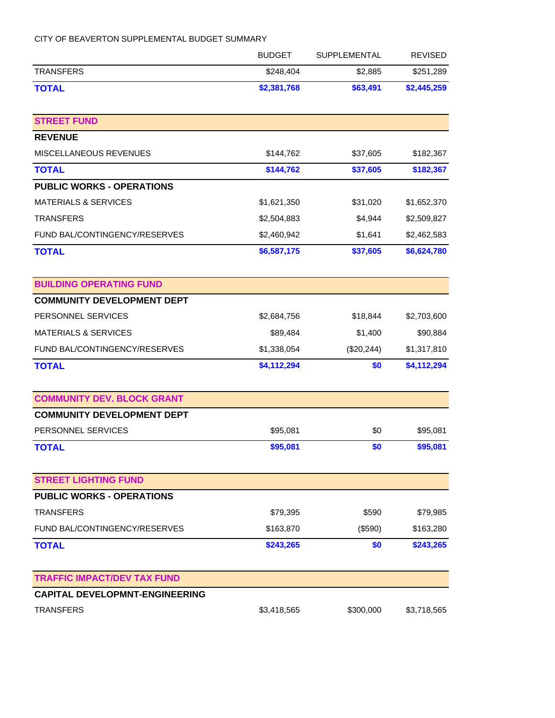|                                       | <b>BUDGET</b> | <b>SUPPLEMENTAL</b> | <b>REVISED</b> |
|---------------------------------------|---------------|---------------------|----------------|
| <b>TRANSFERS</b>                      | \$248,404     | \$2,885             | \$251,289      |
| <b>TOTAL</b>                          | \$2,381,768   | \$63,491            | \$2,445,259    |
| <b>STREET FUND</b>                    |               |                     |                |
| <b>REVENUE</b>                        |               |                     |                |
| MISCELLANEOUS REVENUES                | \$144,762     | \$37,605            | \$182,367      |
| <b>TOTAL</b>                          | \$144,762     | \$37,605            | \$182,367      |
| <b>PUBLIC WORKS - OPERATIONS</b>      |               |                     |                |
| <b>MATERIALS &amp; SERVICES</b>       | \$1,621,350   | \$31,020            | \$1,652,370    |
| <b>TRANSFERS</b>                      | \$2,504,883   | \$4,944             | \$2,509,827    |
| FUND BAL/CONTINGENCY/RESERVES         | \$2,460,942   | \$1,641             | \$2,462,583    |
| <b>TOTAL</b>                          | \$6,587,175   | \$37,605            | \$6,624,780    |
| <b>BUILDING OPERATING FUND</b>        |               |                     |                |
| <b>COMMUNITY DEVELOPMENT DEPT</b>     |               |                     |                |
| PERSONNEL SERVICES                    | \$2,684,756   | \$18,844            | \$2,703,600    |
| <b>MATERIALS &amp; SERVICES</b>       | \$89,484      | \$1,400             | \$90,884       |
| FUND BAL/CONTINGENCY/RESERVES         | \$1,338,054   | (\$20,244)          | \$1,317,810    |
| <b>TOTAL</b>                          | \$4,112,294   | \$0                 | \$4,112,294    |
| <b>COMMUNITY DEV. BLOCK GRANT</b>     |               |                     |                |
| <b>COMMUNITY DEVELOPMENT DEPT</b>     |               |                     |                |
| PERSONNEL SERVICES                    | \$95,081      | \$0                 | \$95,081       |
| <b>TOTAL</b>                          | \$95,081      | \$0                 | \$95,081       |
| <b>STREET LIGHTING FUND</b>           |               |                     |                |
| <b>PUBLIC WORKS - OPERATIONS</b>      |               |                     |                |
| <b>TRANSFERS</b>                      | \$79,395      | \$590               | \$79,985       |
| FUND BAL/CONTINGENCY/RESERVES         | \$163,870     | (\$590)             | \$163,280      |
| <b>TOTAL</b>                          | \$243,265     | \$0                 | \$243,265      |
| <b>TRAFFIC IMPACT/DEV TAX FUND</b>    |               |                     |                |
| <b>CAPITAL DEVELOPMNT-ENGINEERING</b> |               |                     |                |
| <b>TRANSFERS</b>                      | \$3,418,565   | \$300,000           | \$3,718,565    |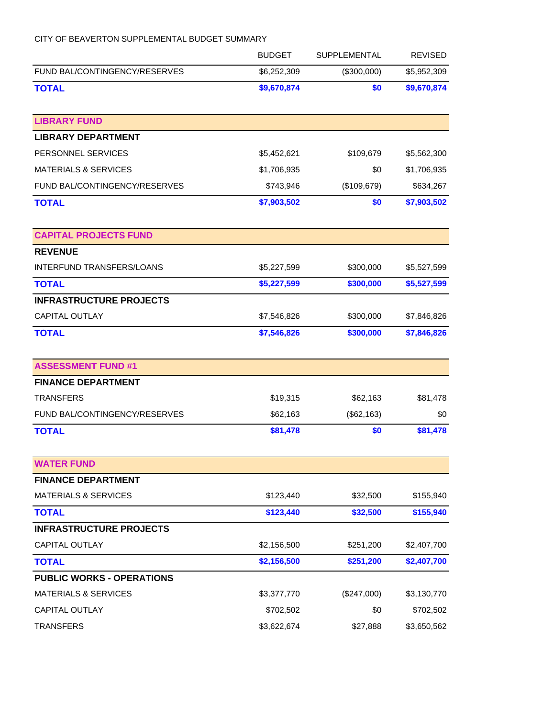|                                  | <b>BUDGET</b> | <b>SUPPLEMENTAL</b> | <b>REVISED</b> |
|----------------------------------|---------------|---------------------|----------------|
| FUND BAL/CONTINGENCY/RESERVES    | \$6,252,309   | (\$300,000)         | \$5,952,309    |
| <b>TOTAL</b>                     | \$9,670,874   | \$0                 | \$9,670,874    |
| <b>LIBRARY FUND</b>              |               |                     |                |
| <b>LIBRARY DEPARTMENT</b>        |               |                     |                |
| PERSONNEL SERVICES               | \$5,452,621   | \$109,679           | \$5,562,300    |
| <b>MATERIALS &amp; SERVICES</b>  | \$1,706,935   | \$0                 | \$1,706,935    |
| FUND BAL/CONTINGENCY/RESERVES    | \$743,946     | (\$109,679)         | \$634,267      |
| <b>TOTAL</b>                     | \$7,903,502   | \$0                 | \$7,903,502    |
| <b>CAPITAL PROJECTS FUND</b>     |               |                     |                |
| <b>REVENUE</b>                   |               |                     |                |
| <b>INTERFUND TRANSFERS/LOANS</b> | \$5,227,599   | \$300,000           | \$5,527,599    |
| <b>TOTAL</b>                     | \$5,227,599   | \$300,000           | \$5,527,599    |
| <b>INFRASTRUCTURE PROJECTS</b>   |               |                     |                |
| <b>CAPITAL OUTLAY</b>            | \$7,546,826   | \$300,000           | \$7,846,826    |
| <b>TOTAL</b>                     | \$7,546,826   | \$300,000           | \$7,846,826    |
| <b>ASSESSMENT FUND #1</b>        |               |                     |                |
| <b>FINANCE DEPARTMENT</b>        |               |                     |                |
| <b>TRANSFERS</b>                 | \$19,315      | \$62,163            | \$81,478       |
| FUND BAL/CONTINGENCY/RESERVES    | \$62,163      | (\$62,163)          | \$0            |
| <b>TOTAL</b>                     | \$81,478      | \$0                 | \$81,478       |
| <b>WATER FUND</b>                |               |                     |                |
| <b>FINANCE DEPARTMENT</b>        |               |                     |                |
| <b>MATERIALS &amp; SERVICES</b>  | \$123,440     | \$32,500            | \$155,940      |
| <b>TOTAL</b>                     | \$123,440     | \$32,500            | \$155,940      |
| <b>INFRASTRUCTURE PROJECTS</b>   |               |                     |                |
| <b>CAPITAL OUTLAY</b>            | \$2,156,500   | \$251,200           | \$2,407,700    |
| <b>TOTAL</b>                     | \$2,156,500   | \$251,200           | \$2,407,700    |
| <b>PUBLIC WORKS - OPERATIONS</b> |               |                     |                |
| <b>MATERIALS &amp; SERVICES</b>  | \$3,377,770   | (\$247,000)         | \$3,130,770    |
| <b>CAPITAL OUTLAY</b>            | \$702,502     | \$0                 | \$702,502      |
| <b>TRANSFERS</b>                 | \$3,622,674   | \$27,888            | \$3,650,562    |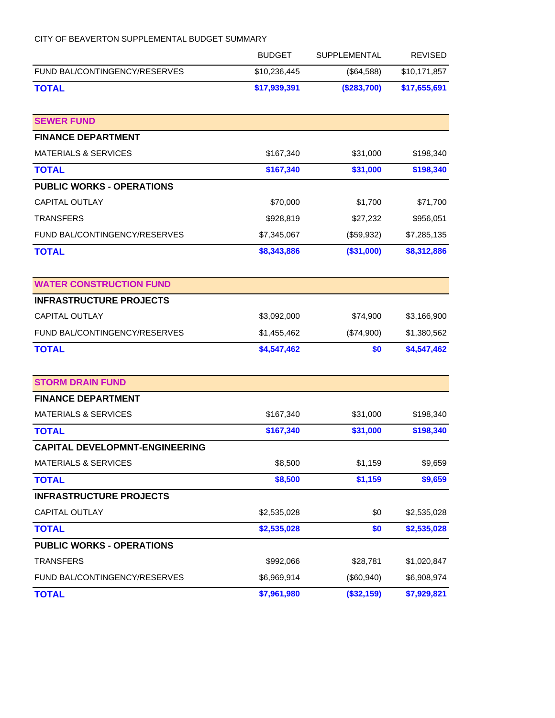|                                       | <b>BUDGET</b> | SUPPLEMENTAL | <b>REVISED</b> |
|---------------------------------------|---------------|--------------|----------------|
| FUND BAL/CONTINGENCY/RESERVES         | \$10,236,445  | (\$64,588)   | \$10,171,857   |
| <b>TOTAL</b>                          | \$17,939,391  | (\$283,700)  | \$17,655,691   |
| <b>SEWER FUND</b>                     |               |              |                |
| <b>FINANCE DEPARTMENT</b>             |               |              |                |
| <b>MATERIALS &amp; SERVICES</b>       | \$167,340     | \$31,000     | \$198,340      |
| <b>TOTAL</b>                          | \$167,340     | \$31,000     | \$198,340      |
| <b>PUBLIC WORKS - OPERATIONS</b>      |               |              |                |
| <b>CAPITAL OUTLAY</b>                 | \$70,000      | \$1,700      | \$71,700       |
| <b>TRANSFERS</b>                      | \$928,819     | \$27,232     | \$956,051      |
| FUND BAL/CONTINGENCY/RESERVES         | \$7,345,067   | (\$59,932)   | \$7,285,135    |
| <b>TOTAL</b>                          | \$8,343,886   | (\$31,000)   | \$8,312,886    |
| <b>WATER CONSTRUCTION FUND</b>        |               |              |                |
| <b>INFRASTRUCTURE PROJECTS</b>        |               |              |                |
| <b>CAPITAL OUTLAY</b>                 | \$3,092,000   | \$74,900     | \$3,166,900    |
| FUND BAL/CONTINGENCY/RESERVES         | \$1,455,462   | (\$74,900)   | \$1,380,562    |
| <b>TOTAL</b>                          | \$4,547,462   | \$0          | \$4,547,462    |
| <b>STORM DRAIN FUND</b>               |               |              |                |
| <b>FINANCE DEPARTMENT</b>             |               |              |                |
| <b>MATERIALS &amp; SERVICES</b>       | \$167,340     | \$31,000     | \$198,340      |
| <b>TOTAL</b>                          | \$167,340     | \$31,000     | \$198,340      |
| <b>CAPITAL DEVELOPMNT-ENGINEERING</b> |               |              |                |
| <b>MATERIALS &amp; SERVICES</b>       | \$8,500       | \$1,159      | \$9,659        |
| <b>TOTAL</b>                          | \$8,500       | \$1,159      | \$9,659        |
| <b>INFRASTRUCTURE PROJECTS</b>        |               |              |                |
| <b>CAPITAL OUTLAY</b>                 | \$2,535,028   | \$0          | \$2,535,028    |
| <b>TOTAL</b>                          | \$2,535,028   | \$0          | \$2,535,028    |
| <b>PUBLIC WORKS - OPERATIONS</b>      |               |              |                |
| <b>TRANSFERS</b>                      | \$992,066     | \$28,781     | \$1,020,847    |
| FUND BAL/CONTINGENCY/RESERVES         | \$6,969,914   | (\$60,940)   | \$6,908,974    |
| <b>TOTAL</b>                          | \$7,961,980   | (\$32,159)   | \$7,929,821    |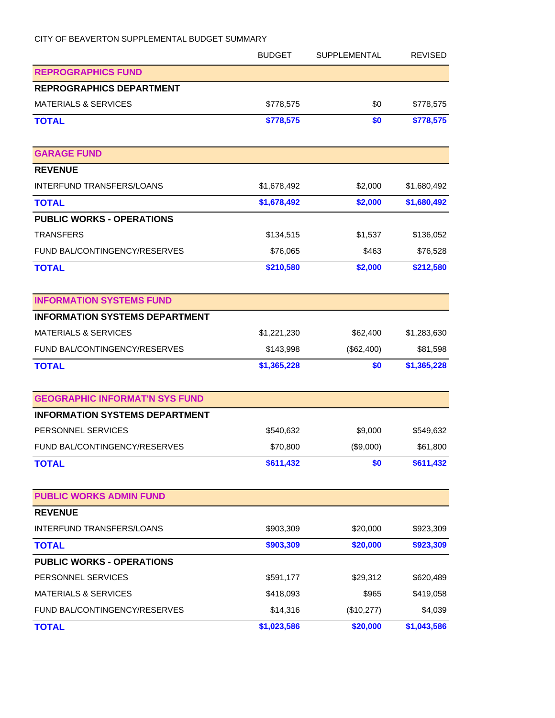|                                       | <b>BUDGET</b> | SUPPLEMENTAL | <b>REVISED</b> |
|---------------------------------------|---------------|--------------|----------------|
| <b>REPROGRAPHICS FUND</b>             |               |              |                |
| <b>REPROGRAPHICS DEPARTMENT</b>       |               |              |                |
| <b>MATERIALS &amp; SERVICES</b>       | \$778,575     | \$0          | \$778,575      |
| <b>TOTAL</b>                          | \$778,575     | \$0          | \$778,575      |
| <b>GARAGE FUND</b>                    |               |              |                |
| <b>REVENUE</b>                        |               |              |                |
| <b>INTERFUND TRANSFERS/LOANS</b>      | \$1,678,492   | \$2,000      | \$1,680,492    |
| <b>TOTAL</b>                          | \$1,678,492   | \$2,000      | \$1,680,492    |
| <b>PUBLIC WORKS - OPERATIONS</b>      |               |              |                |
| <b>TRANSFERS</b>                      | \$134,515     | \$1,537      | \$136,052      |
| FUND BAL/CONTINGENCY/RESERVES         | \$76,065      | \$463        | \$76,528       |
| <b>TOTAL</b>                          | \$210,580     | \$2,000      | \$212,580      |
| <b>INFORMATION SYSTEMS FUND</b>       |               |              |                |
| <b>INFORMATION SYSTEMS DEPARTMENT</b> |               |              |                |
| <b>MATERIALS &amp; SERVICES</b>       | \$1,221,230   | \$62,400     | \$1,283,630    |
| FUND BAL/CONTINGENCY/RESERVES         | \$143,998     | (\$62,400)   | \$81,598       |
| <b>TOTAL</b>                          | \$1,365,228   | \$0          | \$1,365,228    |
| <b>GEOGRAPHIC INFORMAT'N SYS FUND</b> |               |              |                |
| <b>INFORMATION SYSTEMS DEPARTMENT</b> |               |              |                |
| PERSONNEL SERVICES                    | \$540,632     | \$9,000      | \$549,632      |
| FUND BAL/CONTINGENCY/RESERVES         | \$70,800      | (\$9,000)    | \$61,800       |
| <b>TOTAL</b>                          | \$611,432     | \$0          | \$611,432      |
| <b>PUBLIC WORKS ADMIN FUND</b>        |               |              |                |
| <b>REVENUE</b>                        |               |              |                |
| INTERFUND TRANSFERS/LOANS             | \$903,309     | \$20,000     | \$923,309      |
| <b>TOTAL</b>                          | \$903,309     | \$20,000     | \$923,309      |
| <b>PUBLIC WORKS - OPERATIONS</b>      |               |              |                |
| PERSONNEL SERVICES                    | \$591,177     | \$29,312     | \$620,489      |
| <b>MATERIALS &amp; SERVICES</b>       | \$418,093     | \$965        | \$419,058      |
| FUND BAL/CONTINGENCY/RESERVES         | \$14,316      | (\$10,277)   | \$4,039        |
| <b>TOTAL</b>                          | \$1,023,586   | \$20,000     | \$1,043,586    |